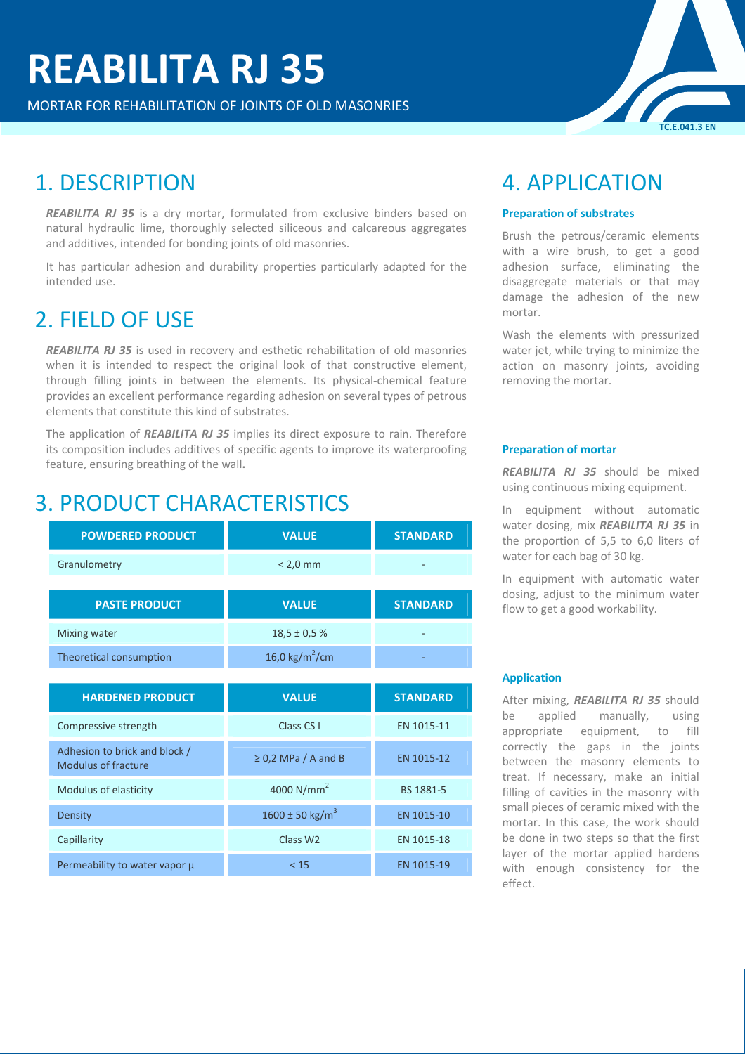MORTAR FOR REHABILITATION OF JOINTS OF OLD MASONRIES

## 1. DESCRIPTION

*REABILITA RJ 35* is a dry mortar, formulated from exclusive binders based on natural hydraulic lime, thoroughly selected siliceous and calcareous aggregates and additives, intended for bonding joints of old masonries.

It has particular adhesion and durability properties particularly adapted for the intended use.

## 2. FIELD OF USE

*REABILITA RJ 35* is used in recovery and esthetic rehabilitation of old masonries when it is intended to respect the original look of that constructive element, through filling joints in between the elements. Its physical-chemical feature provides an excellent performance regarding adhesion on several types of petrous elements that constitute this kind of substrates.

The application of *REABILITA RJ 35* implies its direct exposure to rain. Therefore its composition includes additives of specific agents to improve its waterproofing feature, ensuring breathing of the wall**.**

## 3. PRODUCT CHARACTERISTICS

| <b>POWDERED PRODUCT</b> | <b>VALUE</b>     | <b>STANDARD</b> |
|-------------------------|------------------|-----------------|
| Granulometry            | $< 2.0$ mm       |                 |
|                         |                  |                 |
|                         |                  |                 |
| <b>PASTE PRODUCT</b>    | <b>VALUE</b>     | <b>STANDARD</b> |
| Mixing water            | $18,5 \pm 0.5$ % | -               |

| <b>HARDENED PRODUCT</b>                              | <b>VALUE</b>                    | <b>STANDARD</b> |
|------------------------------------------------------|---------------------------------|-----------------|
| Compressive strength                                 | Class CS I                      | EN 1015-11      |
| Adhesion to brick and block /<br>Modulus of fracture | $\geq$ 0,2 MPa / A and B        | EN 1015-12      |
| Modulus of elasticity                                | 4000 $N/mm2$                    | BS 1881-5       |
| Density                                              | $1600 \pm 50$ kg/m <sup>3</sup> | EN 1015-10      |
| Capillarity                                          | Class W <sub>2</sub>            | EN 1015-18      |
| Permeability to water vapor µ                        | < 15                            | EN 1015-19      |

## 4. APPLICATION

#### **Preparation of substrates**

Brush the petrous/ceramic elements with a wire brush, to get a good adhesion surface, eliminating the disaggregate materials or that may damage the adhesion of the new mortar.

**TC.E.041.3 EN**

Wash the elements with pressurized water jet, while trying to minimize the action on masonry joints, avoiding removing the mortar.

#### **Preparation of mortar**

*REABILITA RJ 35* should be mixed using continuous mixing equipment.

In equipment without automatic water dosing, mix *REABILITA RJ 35* in the proportion of 5,5 to 6,0 liters of water for each bag of 30 kg.

In equipment with automatic water dosing, adjust to the minimum water flow to get a good workability.

#### **Application**

After mixing, *REABILITA RJ 35* should be applied manually, using appropriate equipment, to fill correctly the gaps in the joints between the masonry elements to treat. If necessary, make an initial filling of cavities in the masonry with small pieces of ceramic mixed with the mortar. In this case, the work should be done in two steps so that the first layer of the mortar applied hardens with enough consistency for the effect.